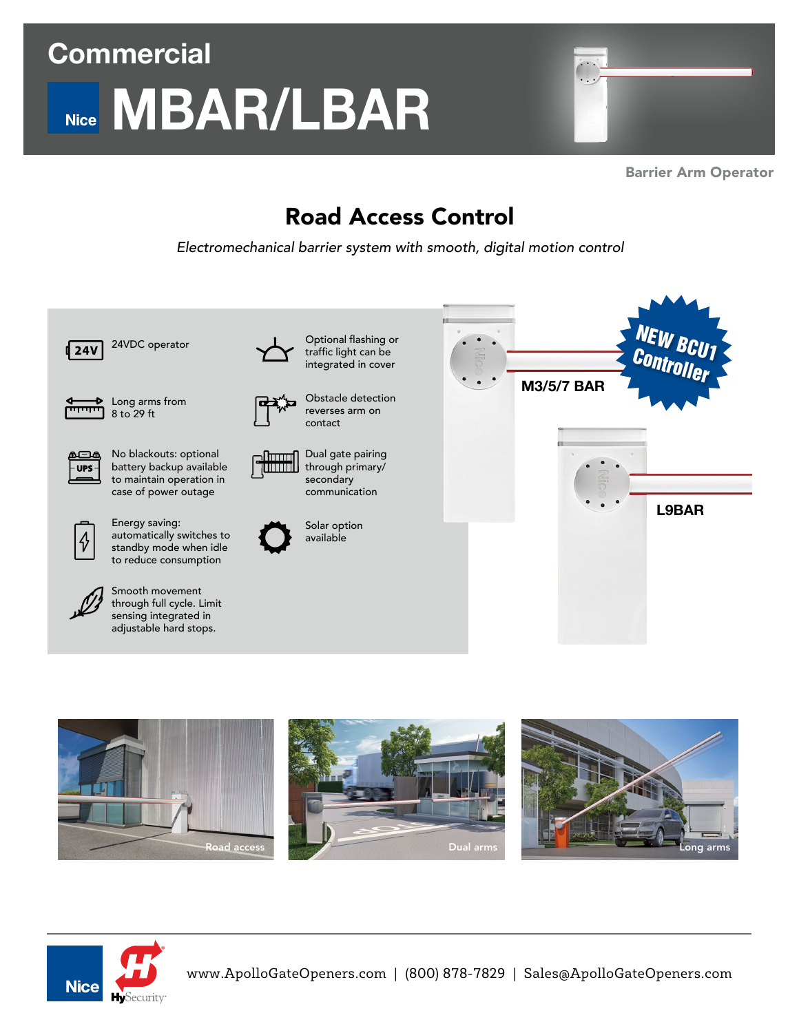# **Commercial MBAR/LBAR**



Barrier Arm Operator

### Road Access Control

*Electromechanical barrier system with smooth, digital motion control*